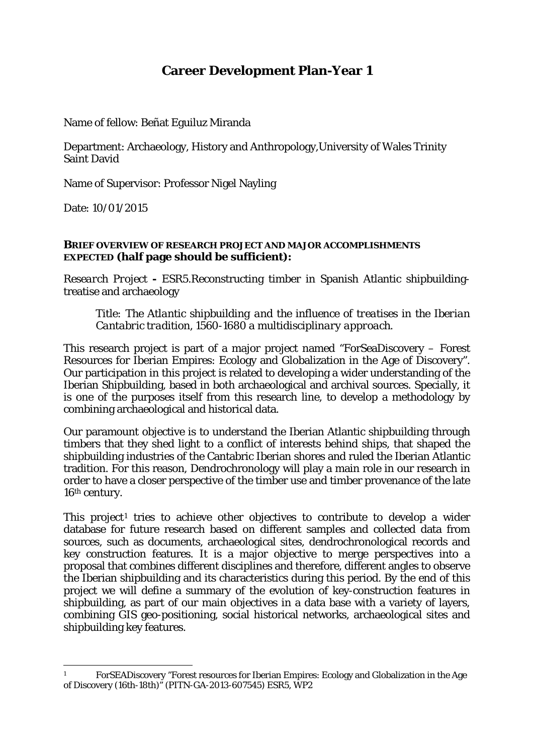# **Career Development Plan-Year 1**

Name of fellow: Beñat Eguiluz Miranda

Department: Archaeology, History and Anthropology,University of Wales Trinity Saint David

Name of Supervisor: Professor Nigel Nayling

Date: 10/01/2015

#### **BRIEF OVERVIEW OF RESEARCH PROJECT AND MAJOR ACCOMPLISHMENTS EXPECTED (half page should be sufficient):**

*Research Project* **-** ESR5.Reconstructing timber in Spanish Atlantic shipbuildingtreatise and archaeology

*Title: The Atlantic shipbuilding and the influence of treatises in the Iberian Cantabric tradition, 1560-1680 a multidisciplinary approach.*

This research project is part of a major project named "ForSeaDiscovery – Forest Resources for Iberian Empires: Ecology and Globalization in the Age of Discovery". Our participation in this project is related to developing a wider understanding of the Iberian Shipbuilding, based in both archaeological and archival sources. Specially, it is one of the purposes itself from this research line, to develop a methodology by combining archaeological and historical data.

Our paramount objective is to understand the Iberian Atlantic shipbuilding through timbers that they shed light to a conflict of interests behind ships, that shaped the shipbuilding industries of the Cantabric Iberian shores and ruled the Iberian Atlantic tradition. For this reason, Dendrochronology will play a main role in our research in order to have a closer perspective of the timber use and timber provenance of the late 16th century.

This project<sup>[1](#page-0-0)</sup> tries to achieve other objectives to contribute to develop a wider database for future research based on different samples and collected data from sources, such as documents, archaeological sites, dendrochronological records and key construction features. It is a major objective to merge perspectives into a proposal that combines different disciplines and therefore, different angles to observe the Iberian shipbuilding and its characteristics during this period. By the end of this project we will define a summary of the evolution of key-construction features in shipbuilding, as part of our main objectives in a data base with a variety of layers, combining GIS geo-positioning, social historical networks, archaeological sites and shipbuilding key features.

<span id="page-0-0"></span><sup>1</sup> 1 ForSEADiscovery "Forest resources for Iberian Empires: Ecology and Globalization in the Age of Discovery (16th-18th)" (PITN-GA-2013-607545) ESR5, WP2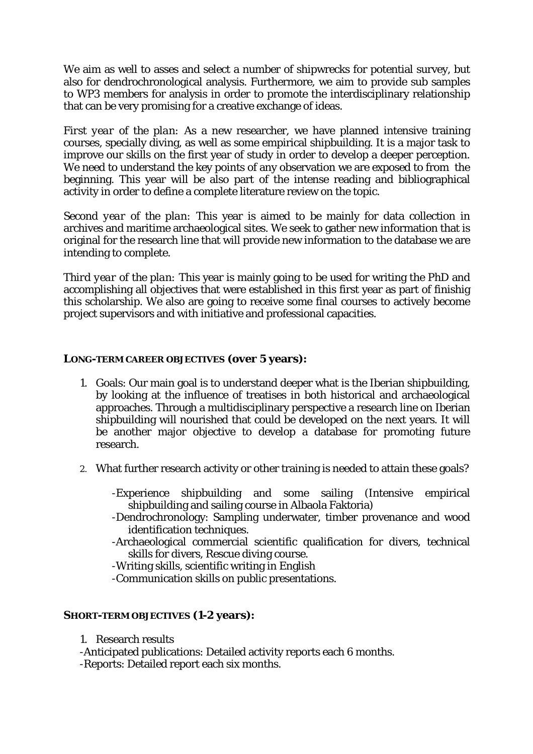We aim as well to asses and select a number of shipwrecks for potential survey, but also for dendrochronological analysis. Furthermore, we aim to provide sub samples to WP3 members for analysis in order to promote the interdisciplinary relationship that can be very promising for a creative exchange of ideas.

*First year of the plan:* As a new researcher, we have planned intensive training courses, specially diving, as well as some empirical shipbuilding. It is a major task to improve our skills on the first year of study in order to develop a deeper perception. We need to understand the key points of any observation we are exposed to from the beginning. This year will be also part of the intense reading and bibliographical activity in order to define a complete literature review on the topic.

*Second year of the plan:* This year is aimed to be mainly for data collection in archives and maritime archaeological sites. We seek to gather new information that is original for the research line that will provide new information to the database we are intending to complete.

*Third year of the plan:* This year is mainly going to be used for writing the PhD and accomplishing all objectives that were established in this first year as part of finishig this scholarship. We also are going to receive some final courses to actively become project supervisors and with initiative and professional capacities.

### **LONG-TERM CAREER OBJECTIVES (over 5 years):**

- 1. Goals: Our main goal is to understand deeper what is the Iberian shipbuilding, by looking at the influence of treatises in both historical and archaeological approaches. Through a multidisciplinary perspective a research line on Iberian shipbuilding will nourished that could be developed on the next years. It will be another major objective to develop a database for promoting future research.
- 2. What further research activity or other training is needed to attain these goals?

-Experience shipbuilding and some sailing (Intensive empirical shipbuilding and sailing course in Albaola Faktoria)

- -Dendrochronology: Sampling underwater, timber provenance and wood identification techniques.
- -Archaeological commercial scientific qualification for divers, technical skills for divers, Rescue diving course.

-Writing skills, scientific writing in English

-Communication skills on public presentations.

### **SHORT-TERM OBJECTIVES (1-2 years):**

1. Research results

-Anticipated publications: Detailed activity reports each 6 months.

-Reports: Detailed report each six months.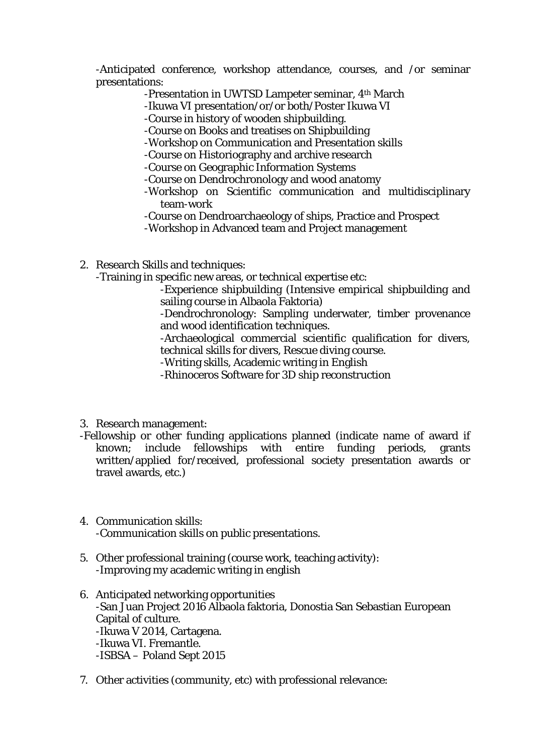-Anticipated conference, workshop attendance, courses, and /or seminar presentations:

- -Presentation in UWTSD Lampeter seminar, 4th March
- -Ikuwa VI presentation/or/or both/Poster Ikuwa VI
- -Course in history of wooden shipbuilding.
- -Course on Books and treatises on Shipbuilding
- -Workshop on Communication and Presentation skills
- -Course on Historiography and archive research
- -Course on Geographic Information Systems
- -Course on Dendrochronology and wood anatomy
- -Workshop on Scientific communication and multidisciplinary team-work
- -Course on Dendroarchaeology of ships, Practice and Prospect
- -Workshop in Advanced team and Project management
- 2. Research Skills and techniques:
	- -Training in specific new areas, or technical expertise etc:
		- -Experience shipbuilding (Intensive empirical shipbuilding and sailing course in Albaola Faktoria)
		- -Dendrochronology: Sampling underwater, timber provenance and wood identification techniques.
		- -Archaeological commercial scientific qualification for divers, technical skills for divers, Rescue diving course.
		- -Writing skills, Academic writing in English
		- -Rhinoceros Software for 3D ship reconstruction
- 3. Research management:
- -Fellowship or other funding applications planned (indicate name of award if known; include fellowships with entire funding periods, grants written/applied for/received, professional society presentation awards or travel awards, etc.)
- 4. Communication skills: -Communication skills on public presentations.
- 5. Other professional training (course work, teaching activity): -Improving my academic writing in english
- 6. Anticipated networking opportunities -San Juan Project 2016 Albaola faktoria, Donostia San Sebastian European Capital of culture. -Ikuwa V 2014, Cartagena. -Ikuwa VI. Fremantle. -ISBSA – Poland Sept 2015
- 7. Other activities (community, etc) with professional relevance: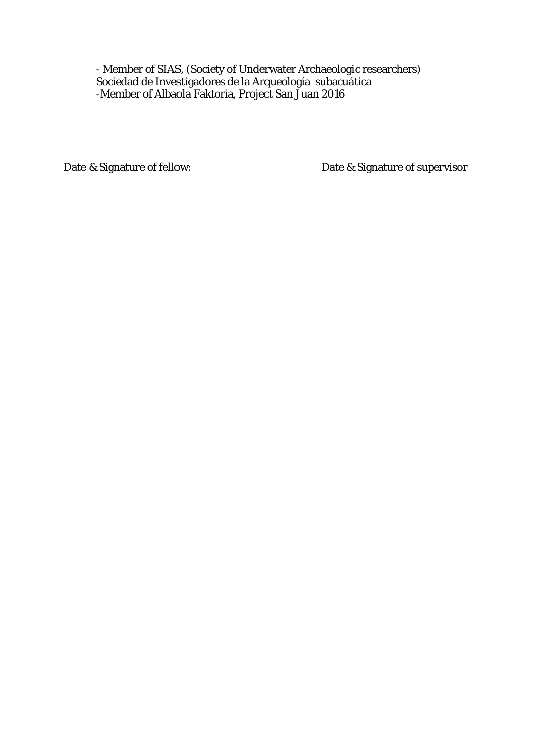- Member of SIAS, (Society of Underwater Archaeologic researchers) Sociedad de Investigadores de la Arqueología subacuática -Member of Albaola Faktoria, Project San Juan 2016

Date & Signature of fellow: Date & Signature of supervisor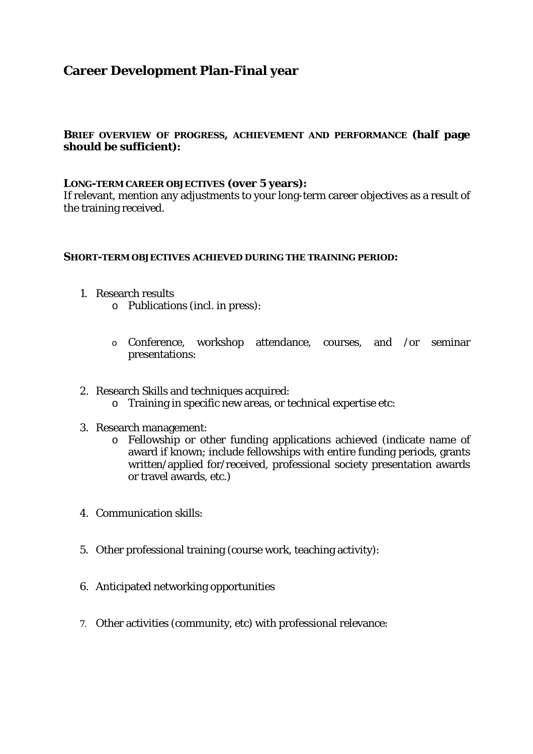# **Career Development Plan-Final year**

### **BRIEF OVERVIEW OF PROGRESS, ACHIEVEMENT AND PERFORMANCE (half page should be sufficient):**

### **LONG-TERM CAREER OBJECTIVES (over 5 years):**

If relevant, mention any adjustments to your long-term career objectives as a result of the training received.

#### **SHORT-TERM OBJECTIVES ACHIEVED DURING THE TRAINING PERIOD:**

- 1. Research results
	- o Publications (incl. in press):
	- o Conference, workshop attendance, courses, and /or seminar presentations:
- 2. Research Skills and techniques acquired:
	- o Training in specific new areas, or technical expertise etc:
- 3. Research management:
	- o Fellowship or other funding applications achieved (indicate name of award if known; include fellowships with entire funding periods, grants written/applied for/received, professional society presentation awards or travel awards, etc.)
- 4. Communication skills:
- 5. Other professional training (course work, teaching activity):
- 6. Anticipated networking opportunities
- 7. Other activities (community, etc) with professional relevance: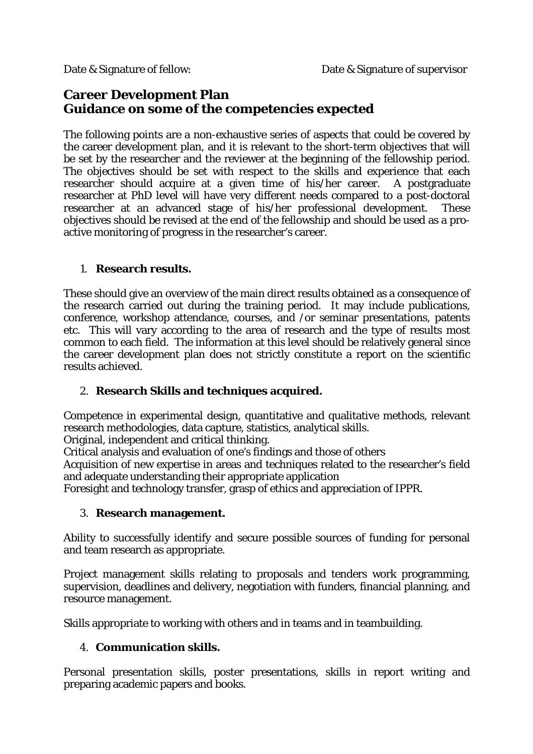# **Career Development Plan Guidance on some of the competencies expected**

The following points are a non-exhaustive series of aspects that could be covered by the career development plan, and it is relevant to the short-term objectives that will be set by the researcher and the reviewer at the beginning of the fellowship period. The objectives should be set with respect to the skills and experience that each researcher should acquire at a given time of his/her career. A postgraduate researcher at PhD level will have very different needs compared to a post-doctoral researcher at an advanced stage of his/her professional development. These objectives should be revised at the end of the fellowship and should be used as a proactive monitoring of progress in the researcher's career.

## 1. **Research results.**

These should give an overview of the main direct results obtained as a consequence of the research carried out during the training period. It may include publications, conference, workshop attendance, courses, and /or seminar presentations, patents etc. This will vary according to the area of research and the type of results most common to each field. The information at this level should be relatively general since the career development plan does not strictly constitute a report on the scientific results achieved.

## 2. **Research Skills and techniques acquired.**

Competence in experimental design, quantitative and qualitative methods, relevant research methodologies, data capture, statistics, analytical skills.

Original, independent and critical thinking.

Critical analysis and evaluation of one's findings and those of others

Acquisition of new expertise in areas and techniques related to the researcher's field and adequate understanding their appropriate application

Foresight and technology transfer, grasp of ethics and appreciation of IPPR.

## 3. **Research management.**

Ability to successfully identify and secure possible sources of funding for personal and team research as appropriate.

Project management skills relating to proposals and tenders work programming, supervision, deadlines and delivery, negotiation with funders, financial planning, and resource management.

Skills appropriate to working with others and in teams and in teambuilding.

## 4. **Communication skills.**

Personal presentation skills, poster presentations, skills in report writing and preparing academic papers and books.